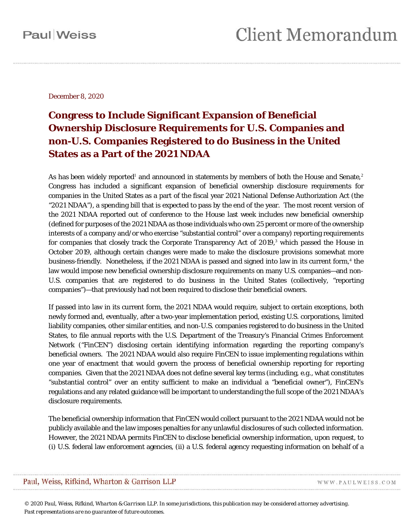December 8, 2020

#### **Congress to Include Significant Expansion of Beneficial Ownership Disclosure Requirements for U.S. Companies and non-U.S. Companies Registered to do Business in the United States as a Part of the 2021 NDAA**

As has been widely reported<sup>[1](#page-4-0)</sup> and announced in statements by members of both the House and Senate,<sup>[2](#page-4-1)</sup> Congress has included a significant expansion of beneficial ownership disclosure requirements for companies in the United States as a part of the fiscal year 2021 National Defense Authorization Act (the "2021 NDAA"), a spending bill that is expected to pass by the end of the year. The most recent version of the 2021 NDAA reported out of conference to the House last week includes new beneficial ownership (defined for purposes of the 2021 NDAA as those individuals who own 25 percent or more of the ownership interests of a company and/or who exercise "substantial control" over a company) reporting requirements for companies that closely track the Corporate Transparency Act of 2019,<sup>[3](#page-4-2)</sup> which passed the House in October 2019, although certain changes were made to make the disclosure provisions somewhat more business-friendly. Nonetheless, if the 2021 NDAA is passed and signed into law in its current form, [4](#page-4-3) the law would impose new beneficial ownership disclosure requirements on many U.S. companies—and non-U.S. companies that are registered to do business in the United States (collectively, "reporting companies")—that previously had not been required to disclose their beneficial owners.

If passed into law in its current form, the 2021 NDAA would require, subject to certain exceptions, both newly formed and, eventually, after a two-year implementation period, existing U.S. corporations, limited liability companies, other similar entities, and non-U.S. companies registered to do business in the United States, to file annual reports with the U.S. Department of the Treasury's Financial Crimes Enforcement Network ("FinCEN") disclosing certain identifying information regarding the reporting company's beneficial owners. The 2021 NDAA would also require FinCEN to issue implementing regulations within one year of enactment that would govern the process of beneficial ownership reporting for reporting companies. Given that the 2021 NDAA does not define several key terms (including, *e.g.*, what constitutes "substantial control" over an entity sufficient to make an individual a "beneficial owner"), FinCEN's regulations and any related guidance will be important to understanding the full scope of the 2021 NDAA's disclosure requirements.

The beneficial ownership information that FinCEN would collect pursuant to the 2021 NDAA would not be publicly available and the law imposes penalties for any unlawful disclosures of such collected information. However, the 2021 NDAA permits FinCEN to disclose beneficial ownership information, upon request, to (i) U.S. federal law enforcement agencies, (ii) a U.S. federal agency requesting information on behalf of a

*© 2020 Paul, Weiss, Rifkind, Wharton & Garrison LLP. In some jurisdictions, this publication may be considered attorney advertising. Past representations are no guarantee of future outcomes.*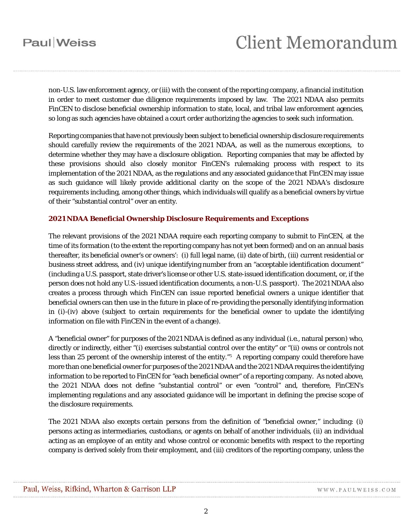# **Client Memorandum**

non-U.S. law enforcement agency, or (iii) with the consent of the reporting company, a financial institution in order to meet customer due diligence requirements imposed by law. The 2021 NDAA also permits FinCEN to disclose beneficial ownership information to state, local, and tribal law enforcement agencies, so long as such agencies have obtained a court order authorizing the agencies to seek such information.

Reporting companies that have not previously been subject to beneficial ownership disclosure requirements should carefully review the requirements of the 2021 NDAA, as well as the numerous exceptions, to determine whether they may have a disclosure obligation. Reporting companies that may be affected by these provisions should also closely monitor FinCEN's rulemaking process with respect to its implementation of the 2021 NDAA, as the regulations and any associated guidance that FinCEN may issue as such guidance will likely provide additional clarity on the scope of the 2021 NDAA's disclosure requirements including, among other things, which individuals will qualify as a beneficial owners by virtue of their "substantial control" over an entity.

#### **2021 NDAA Beneficial Ownership Disclosure Requirements and Exceptions**

The relevant provisions of the 2021 NDAA require each reporting company to submit to FinCEN, at the time of its formation (to the extent the reporting company has not yet been formed) and on an annual basis thereafter, its beneficial owner's or owners': (i) full legal name, (ii) date of birth, (iii) current residential or business street address, and (iv) unique identifying number from an "acceptable identification document" (including a U.S. passport, state driver's license or other U.S. state-issued identification document, or, if the person does not hold any U.S.-issued identification documents, a non-U.S. passport). The 2021 NDAA also creates a process through which FinCEN can issue reported beneficial owners a unique identifier that beneficial owners can then use in the future in place of re-providing the personally identifying information in (i)-(iv) above (subject to certain requirements for the beneficial owner to update the identifying information on file with FinCEN in the event of a change).

A "beneficial owner" for purposes of the 2021 NDAA is defined as any individual (*i.e.*, natural person) who, directly or indirectly, either "(i) exercises substantial control over the entity" or "(ii) owns or controls not less than 2[5](#page-4-4) percent of the ownership interest of the entity."<sup>5</sup> A reporting company could therefore have more than one beneficial owner for purposes of the 2021 NDAA and the 2021 NDAA requires the identifying information to be reported to FinCEN for "each beneficial owner" of a reporting company. As noted above, the 2021 NDAA does not define "substantial control" or even "control" and, therefore, FinCEN's implementing regulations and any associated guidance will be important in defining the precise scope of the disclosure requirements.

The 2021 NDAA also excepts certain persons from the definition of "beneficial owner," including: (i) persons acting as intermediaries, custodians, or agents on behalf of another individuals, (ii) an individual acting as an employee of an entity and whose control or economic benefits with respect to the reporting company is derived solely from their employment, and (iii) creditors of the reporting company, unless the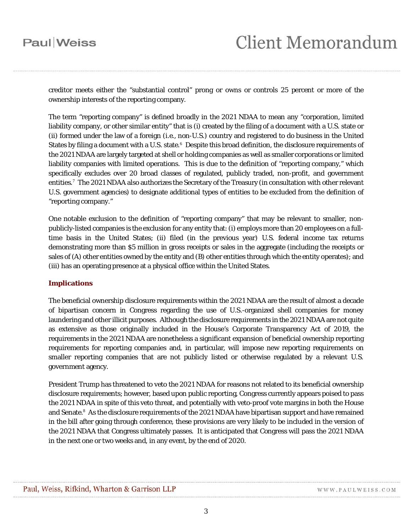creditor meets either the "substantial control" prong or owns or controls 25 percent or more of the ownership interests of the reporting company.

The term "reporting company" is defined broadly in the 2021 NDAA to mean any "corporation, limited liability company, or other similar entity" that is (i) created by the filing of a document with a U.S. state or (ii) formed under the law of a foreign (*i.e.*, non-U.S.) country and registered to do business in the United States by filing a document with a U.S. state. $^6$  $^6$  Despite this broad definition, the disclosure requirements of the 2021 NDAA are largely targeted at shell or holding companies as well as smaller corporations or limited liability companies with limited operations. This is due to the definition of "reporting company," which specifically excludes over 20 broad classes of regulated, publicly traded, non-profit, and government entities.[7](#page-4-6) The 2021 NDAA also authorizes the Secretary of the Treasury (in consultation with other relevant U.S. government agencies) to designate additional types of entities to be excluded from the definition of "reporting company."

One notable exclusion to the definition of "reporting company" that may be relevant to smaller, nonpublicly-listed companies is the exclusion for any entity that: (i) employs more than 20 employees on a fulltime basis in the United States; (ii) filed (in the previous year) U.S. federal income tax returns demonstrating more than \$5 million in gross receipts or sales in the aggregate (including the receipts or sales of (A) other entities owned by the entity and (B) other entities through which the entity operates); and (iii) has an operating presence at a physical office within the United States.

#### **Implications**

The beneficial ownership disclosure requirements within the 2021 NDAA are the result of almost a decade of bipartisan concern in Congress regarding the use of U.S.-organized shell companies for money laundering and other illicit purposes. Although the disclosure requirements in the 2021 NDAA are not quite as extensive as those originally included in the House's Corporate Transparency Act of 2019, the requirements in the 2021 NDAA are nonetheless a significant expansion of beneficial ownership reporting requirements for reporting companies and, in particular, will impose new reporting requirements on smaller reporting companies that are not publicly listed or otherwise regulated by a relevant U.S. government agency.

President Trump has threatened to veto the 2021 NDAA for reasons not related to its beneficial ownership disclosure requirements; however, based upon public reporting, Congress currently appears poised to pass the 2021 NDAA in spite of this veto threat, and potentially with veto-proof vote margins in both the House and Senate.<sup>[8](#page-5-0)</sup> As the disclosure requirements of the 2021 NDAA have bipartisan support and have remained in the bill after going through conference, these provisions are very likely to be included in the version of the 2021 NDAA that Congress ultimately passes. It is anticipated that Congress will pass the 2021 NDAA in the next one or two weeks and, in any event, by the end of 2020.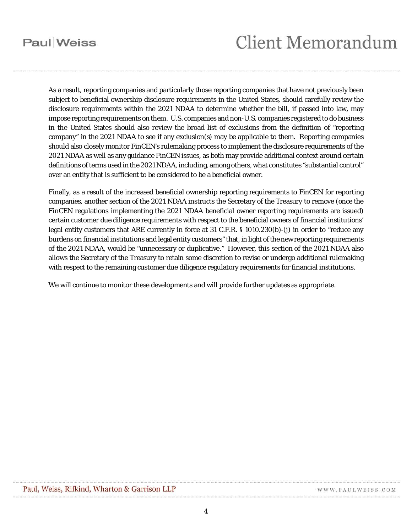# **Client Memorandum**

As a result, reporting companies and particularly those reporting companies that have not previously been subject to beneficial ownership disclosure requirements in the United States, should carefully review the disclosure requirements within the 2021 NDAA to determine whether the bill, if passed into law, may impose reporting requirements on them. U.S. companies and non-U.S. companies registered to do business in the United States should also review the broad list of exclusions from the definition of "reporting company" in the 2021 NDAA to see if any exclusion(s) may be applicable to them. Reporting companies should also closely monitor FinCEN's rulemaking process to implement the disclosure requirements of the 2021 NDAA as well as any guidance FinCEN issues, as both may provide additional context around certain definitions of terms used in the 2021 NDAA, including, among others, what constitutes "substantial control" over an entity that is sufficient to be considered to be a beneficial owner.

Finally, as a result of the increased beneficial ownership reporting requirements to FinCEN for reporting companies, another section of the 2021 NDAA instructs the Secretary of the Treasury to remove (once the FinCEN regulations implementing the 2021 NDAA beneficial owner reporting requirements are issued) certain customer due diligence requirements with respect to the beneficial owners of financial institutions' legal entity customers that ARE currently in force at 31 C.F.R. § 1010.230(b)-(j) in order to "reduce any burdens on financial institutions and legal entity customers" that, in light of the new reporting requirements of the 2021 NDAA, would be "unnecessary or duplicative." However, this section of the 2021 NDAA also allows the Secretary of the Treasury to retain some discretion to revise or undergo additional rulemaking with respect to the remaining customer due diligence regulatory requirements for financial institutions.

We will continue to monitor these developments and will provide further updates as appropriate.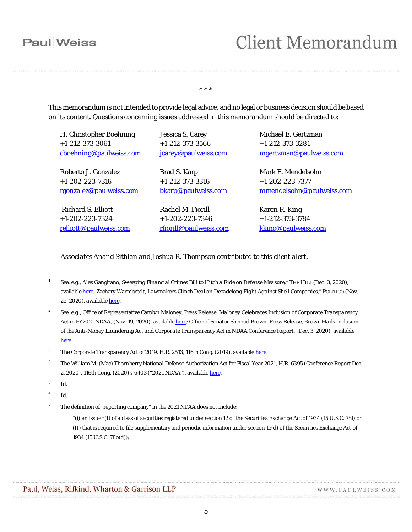# **Client Memorandum**

#### \* \* \*

This memorandum is not intended to provide legal advice, and no legal or business decision should be based on its content. Questions concerning issues addressed in this memorandum should be directed to:

| H. Christopher Boehning | Jessica S. Carey       | Michael E. Gertzman       |
|-------------------------|------------------------|---------------------------|
| $+1-212-373-3061$       | $+1-212-373-3566$      | $+1-212-373-3281$         |
| cboehning@paulweiss.com | jcarey@paulweiss.com   | mgertzman@paulweiss.com   |
| Roberto J. Gonzalez     | Brad S. Karp           | Mark F. Mendelsohn        |
| $+1-202-223-7316$       | $+1-212-373-3316$      | $+1-202-223-7377$         |
| rgonzalez@paulweiss.com | bkarp@paulweiss.com    | mmendelsohn@paulweiss.com |
| Richard S. Elliott      | Rachel M. Fiorill      | Karen R. King             |
| $+1-202-223-7324$       | $+1-202-223-7346$      | $+1-212-373-3784$         |
| relliott@paulweiss.com  | rfiorill@paulweiss.com | kking@paulweiss.com       |

*Associates Anand Sithian and Joshua R. Thompson contributed to this client alert.*

 $\overline{a}$ 

<span id="page-4-0"></span><sup>1</sup> *See*, *e.g.*, Alex Gangitano, *Sweeping Financial Crimes Bill to Hitch a Ride on Defense Measure*," THE HILL (Dec. 3, 2020), available [here;](https://thehill.com/business-a-lobbying/business-a-lobbying/528496-sweeping-financial-crimes-bill-to-hitch-a-ride-on) Zachary Warmbrodt, *Lawmakers Clinch Deal on Decadelong Fight Against Shell Companies*," POLITICO (Nov. 25, 2020), available [here.](https://www.politico.com/news/2020/11/25/lawmakers-fight-shell-companies-440618)

<span id="page-4-1"></span><sup>2</sup> *See*, *e.g.*, Office of Representative Carolyn Maloney, Press Release, *Maloney Celebrates Inclusion of Corporate Transparency Act in FY2021 NDAA*, (Nov. 19, 2020), availabl[e here;](https://maloney.house.gov/media-center/press-releases/maloney-celebrates-inclusion-of-corporate-transparency-act-in-fy2021) Office of Senator Sherrod Brown, Press Release, *Brown Hails Inclusion of the Anti-Money Laundering Act and Corporate Transparency Act in NDAA Conference Report*, (Dec. 3, 2020), available [here.](https://www.brown.senate.gov/newsroom/press/release/brown-anti-money-laundering-act-corporate-transparency-act-ndaa-report)

<span id="page-4-2"></span><sup>&</sup>lt;sup>3</sup> The Corporate Transparency Act of 2019, H.R. 2513, 116th Cong. (2019), available [here.](https://www.congress.gov/bill/116th-congress/house-bill/2513/text)

<span id="page-4-3"></span><sup>&</sup>lt;sup>4</sup> The William M. (Mac) Thornberry National Defense Authorization Act for Fiscal Year 2021, H.R. 6395 (Conference Report Dec. 2, 2020), 116th Cong. (2020) § 6403 ("2021 NDAA"), available [here.](https://docs.house.gov/billsthisweek/20201207/CRPT-116hrpt617.pdf)

<span id="page-4-4"></span><sup>5</sup> *Id*.

<span id="page-4-5"></span><sup>6</sup> *Id*.

<span id="page-4-6"></span> $7$  The definition of "reporting company" in the 2021 NDAA does not include:

<sup>&</sup>quot;(i) an issuer (I) of a class of securities registered under section 12 of the Securities Exchange Act of 1934 (15 U.S.C. 78l) or (II) that is required to file supplementary and periodic information under section 15(d) of the Securities Exchange Act of 1934 (15 U.S.C. 78o(d));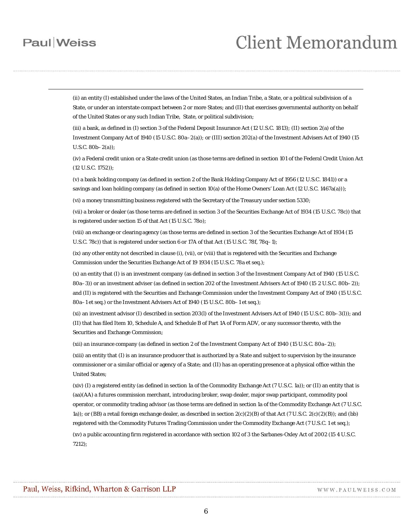-

### **Client Memorandum**

(ii) an entity (I) established under the laws of the United States, an Indian Tribe, a State, or a political subdivision of a State, or under an interstate compact between 2 or more States; and (II) that exercises governmental authority on behalf of the United States or any such Indian Tribe, State, or political subdivision;

(iii) a bank, as defined in (I) section 3 of the Federal Deposit Insurance Act (12 U.S.C. 1813); (II) section 2(a) of the Investment Company Act of 1940 (15 U.S.C. 80a–2(a)); or (III) section 202(a) of the Investment Advisers Act of 1940 (15 U.S.C. 80b–2(a));

(iv) a Federal credit union or a State credit union (as those terms are defined in section 101 of the Federal Credit Union Act (12 U.S.C. 1752));

(v) a bank holding company (as defined in section 2 of the Bank Holding Company Act of 1956 (12 U.S.C. 1841)) or a savings and loan holding company (as defined in section 10(a) of the Home Owners' Loan Act (12 U.S.C. 1467a(a)));

(vi) a money transmitting business registered with the Secretary of the Treasury under section 5330;

(vii) a broker or dealer (as those terms are defined in section 3 of the Securities Exchange Act of 1934 (15 U.S.C. 78c)) that is registered under section 15 of that Act (15 U.S.C. 78o);

(viii) an exchange or clearing agency (as those terms are defined in section 3 of the Securities Exchange Act of 1934 (15 U.S.C. 78c)) that is registered under section 6 or 17A of that Act (15 U.S.C. 78f, 78q–1);

(ix) any other entity not described in clause (i), (vii), or (viii) that is registered with the Securities and Exchange Commission under the Securities Exchange Act of 19 1934 (15 U.S.C. 78a et seq.);

<span id="page-5-0"></span>(x) an entity that (I) is an investment company (as defined in section 3 of the Investment Company Act of 1940 (15 U.S.C. 80a–3)) or an investment adviser (as defined in section 202 of the Investment Advisers Act of 1940 (15 2 U.S.C. 80b–2)); and (II) is registered with the Securities and Exchange Commission under the Investment Company Act of 1940 (15 U.S.C. 80a–1 et seq.) or the Investment Advisers Act of 1940 (15 U.S.C. 80b–1 et seq.);

(xi) an investment advisor (I) described in section 203(l) of the Investment Advisers Act of 1940 (15 U.S.C. 80b–3(l)); and (II) that has filed Item 10, Schedule A, and Schedule B of Part 1A of Form ADV, or any successor thereto, with the Securities and Exchange Commission;

(xii) an insurance company (as defined in section 2 of the Investment Company Act of 1940 (15 U.S.C. 80a–2));

(xiii) an entity that (I) is an insurance producer that is authorized by a State and subject to supervision by the insurance commissioner or a similar official or agency of a State; and (II) has an operating presence at a physical office within the United States;

(xiv) (I) a registered entity (as defined in section 1a of the Commodity Exchange Act (7 U.S.C. 1a)); or (II) an entity that is (aa)(AA) a futures commission merchant, introducing broker, swap dealer, major swap participant, commodity pool operator, or commodity trading advisor (as those terms are defined in section 1a of the Commodity Exchange Act (7 U.S.C. 1a)); or (BB) a retail foreign exchange dealer, as described in section 2(c)(2)(B) of that Act (7 U.S.C. 2(c)(2)(B)); and (bb) registered with the Commodity Futures Trading Commission under the Commodity Exchange Act (7 U.S.C. 1 et seq.); (xv) a public accounting firm registered in accordance with section 102 of 3 the Sarbanes-Oxley Act of 2002 (15 4 U.S.C. 7212);